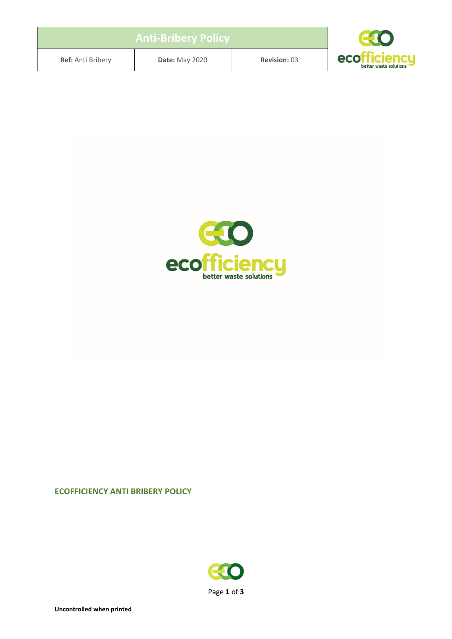| <b>Anti-Bribery Policy</b> |                       |                     |                                        |
|----------------------------|-----------------------|---------------------|----------------------------------------|
| <b>Ref:</b> Anti Bribery   | <b>Date: May 2020</b> | <b>Revision: 03</b> | ecofficiencu<br>better waste solutions |



## **ECOFFICIENCY ANTI BRIBERY POLICY**

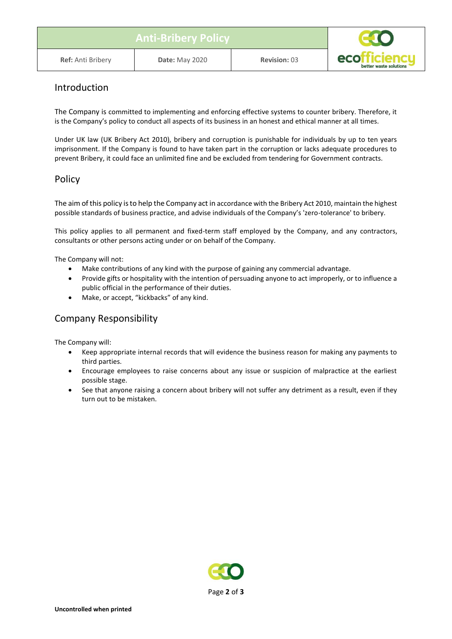| <b>Anti-Bribery Policy</b> |                       |                     |                                        |
|----------------------------|-----------------------|---------------------|----------------------------------------|
| <b>Ref:</b> Anti Bribery   | <b>Date: May 2020</b> | <b>Revision: 03</b> | ecotticiencu<br>better waste solutions |

## Introduction

The Company is committed to implementing and enforcing effective systems to counter bribery. Therefore, it is the Company's policy to conduct all aspects of its business in an honest and ethical manner at all times.

Under UK law (UK Bribery Act 2010), bribery and corruption is punishable for individuals by up to ten years imprisonment. If the Company is found to have taken part in the corruption or lacks adequate procedures to prevent Bribery, it could face an unlimited fine and be excluded from tendering for Government contracts.

#### Policy

The aim of this policy is to help the Company act in accordance with the Bribery Act 2010, maintain the highest possible standards of business practice, and advise individuals of the Company's 'zero-tolerance' to bribery.

This policy applies to all permanent and fixed-term staff employed by the Company, and any contractors, consultants or other persons acting under or on behalf of the Company.

The Company will not:

- Make contributions of any kind with the purpose of gaining any commercial advantage.
- Provide gifts or hospitality with the intention of persuading anyone to act improperly, or to influence a public official in the performance of their duties.
- Make, or accept, "kickbacks" of any kind.

## Company Responsibility

The Company will:

- Keep appropriate internal records that will evidence the business reason for making any payments to third parties.
- Encourage employees to raise concerns about any issue or suspicion of malpractice at the earliest possible stage.
- See that anyone raising a concern about bribery will not suffer any detriment as a result, even if they turn out to be mistaken.